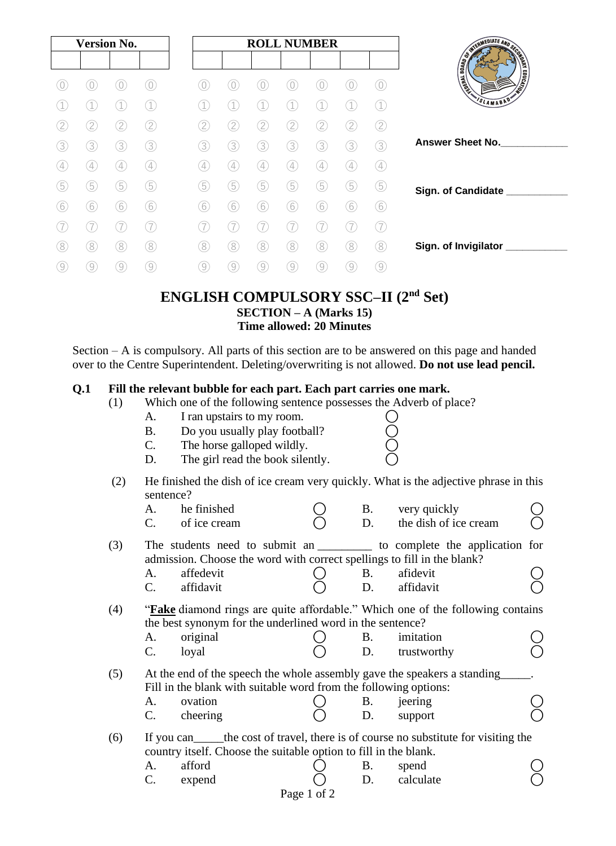|   | <b>Version No.</b> |                   |                  |                   |                   | <b>ROLL NUMBER</b> |                   |                   |                   |                   |                                 |
|---|--------------------|-------------------|------------------|-------------------|-------------------|--------------------|-------------------|-------------------|-------------------|-------------------|---------------------------------|
|   |                    |                   |                  |                   |                   |                    |                   |                   |                   |                   |                                 |
|   | 0                  | 0                 | 0)               | $\overline{0}$    | 0                 | 0                  |                   |                   |                   | $\left( 0\right)$ | <b>CONTRACTOR AND RESIDENCE</b> |
|   |                    |                   | $\left(1\right)$ |                   |                   |                    |                   |                   |                   | $\left(1\right)$  | SLAMABAD*                       |
| 2 | 2                  | 2                 | 2                | 2                 | 2                 | 2                  | 2                 | 2                 | 2                 | 2                 |                                 |
| 3 | 3                  | 3                 | 3                | 3                 | 3                 | 3                  | 3                 | 3                 | 3                 | 3                 | <b>Answer Sheet No.</b>         |
| 4 | $\left( 4\right)$  | $\left( 4\right)$ | 4                | $\left( 4\right)$ | $\left( 4\right)$ | $\left( 4\right)$  | $\left( 4\right)$ | $\left( 4\right)$ | $\left( 4\right)$ | A)                |                                 |
| 5 | 5                  | 5                 | (5)              | 5                 | 5                 | 5                  | 5                 | 5                 | 5                 | (5)               | Sign. of Candidate              |
| 6 | 6                  | 6                 | 6                | 6                 | 6                 | 6                  | 6                 | 6                 | 6                 | 6                 |                                 |
|   |                    |                   | 7                |                   |                   |                    |                   |                   |                   |                   |                                 |
| 8 | 8                  | 8)                | (8)              | (8)               | 8                 | 8                  | 8                 | 8)                | 8                 | 8                 | Sign. of Invigilator            |
|   | 9                  | $\left[9\right]$  | 9                | $\left( 9\right)$ | $\left[9\right]$  | $\left[9\right]$   | 9                 | 9                 | $\overline{9}$    | 9                 |                                 |
|   |                    |                   |                  |                   |                   |                    |                   |                   |                   |                   |                                 |

### **ENGLISH COMPULSORY SSC–II (2nd Set) SECTION – A (Marks 15) Time allowed: 20 Minutes**

Section – A is compulsory. All parts of this section are to be answered on this page and handed over to the Centre Superintendent. Deleting/overwriting is not allowed. **Do not use lead pencil.**

#### **Q.1 Fill the relevant bubble for each part. Each part carries one mark.**

- (1) Which one of the following sentence possesses the Adverb of place?<br>
A. I ran upstairs to my room.  $\bigcirc$ <br>
B. Do you usually play football?  $\bigcirc$ <br>
C. The horse galloped wildly.  $\bigcirc$ 
	- A. I ran upstairs to my room.
		- B. Do you usually play football?
	- C. The horse galloped wildly.
	- D. The girl read the book silently.
- (2) He finished the dish of ice cream very quickly. What is the adjective phrase in this sentence?

|     | A.             | he finished                                                                             |             | <b>B.</b> | very quickly          |  |
|-----|----------------|-----------------------------------------------------------------------------------------|-------------|-----------|-----------------------|--|
|     | C.             | of ice cream                                                                            |             | D.        | the dish of ice cream |  |
| (3) |                | The students need to submit an ___________ to complete the application for              |             |           |                       |  |
|     |                | admission. Choose the word with correct spellings to fill in the blank?                 |             |           |                       |  |
|     | A.             | affedevit                                                                               |             | <b>B.</b> | afidevit              |  |
|     | $\mathbf{C}$ . | affidavit                                                                               |             | D.        | affidavit             |  |
| (4) |                | " <b>Fake</b> diamond rings are quite affordable." Which one of the following contains  |             |           |                       |  |
|     |                | the best synonym for the underlined word in the sentence?                               |             |           |                       |  |
|     | A.             | original                                                                                |             | B.        | imitation             |  |
|     | $\mathsf{C}$ . | loyal                                                                                   |             | D.        | trustworthy           |  |
| (5) |                | At the end of the speech the whole assembly gave the speakers a standing                |             |           |                       |  |
|     |                | Fill in the blank with suitable word from the following options:                        |             |           |                       |  |
|     | A.             | ovation                                                                                 |             | B.        | jeering               |  |
|     | $\mathbf{C}$ . | cheering                                                                                |             | D.        | support               |  |
| (6) |                | If you can <u>the cost</u> of travel, there is of course no substitute for visiting the |             |           |                       |  |
|     |                | country itself. Choose the suitable option to fill in the blank.                        |             |           |                       |  |
|     | A.             | afford                                                                                  |             | B.        | spend                 |  |
|     | C.             | expend                                                                                  |             | D.        | calculate             |  |
|     |                |                                                                                         | Page 1 of 2 |           |                       |  |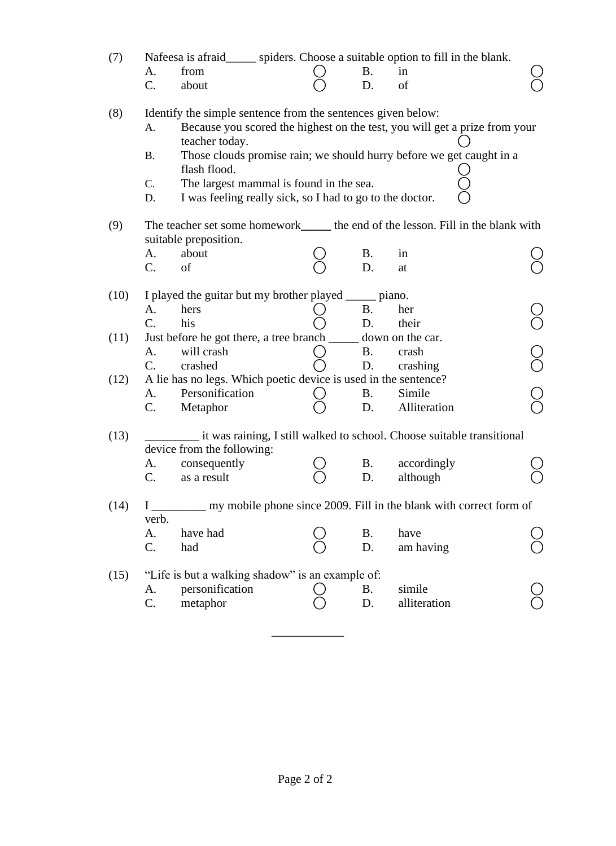| (7)  | Nafeesa is afraid_______ spiders. Choose a suitable option to fill in the blank.<br>from<br>A.<br>C.<br>about                                                                                                                        | <b>B.</b><br>D. | in<br>of                                                                                                                                           |            |
|------|--------------------------------------------------------------------------------------------------------------------------------------------------------------------------------------------------------------------------------------|-----------------|----------------------------------------------------------------------------------------------------------------------------------------------------|------------|
| (8)  | Identify the simple sentence from the sentences given below:<br>A.<br>teacher today.<br><b>B.</b><br>flash flood.<br>C.<br>The largest mammal is found in the sea.<br>I was feeling really sick, so I had to go to the doctor.<br>D. |                 | Because you scored the highest on the test, you will get a prize from your<br>Those clouds promise rain; we should hurry before we get caught in a |            |
| (9)  | The teacher set some homework_______ the end of the lesson. Fill in the blank with<br>suitable preposition.<br>about<br>A.<br>C.<br>of                                                                                               | <b>B.</b><br>D. | in                                                                                                                                                 |            |
| (10) | I played the guitar but my brother played ______ piano.<br>A.                                                                                                                                                                        | <b>B.</b>       | at                                                                                                                                                 |            |
| (11) | hers<br>C.<br>his<br>Just before he got there, a tree branch _______ down on the car.                                                                                                                                                | D.              | her<br>their                                                                                                                                       |            |
|      | will crash<br>A.<br>C.<br>crashed                                                                                                                                                                                                    | <b>B.</b><br>D. | crash<br>crashing                                                                                                                                  | $\bigcirc$ |
| (12) | A lie has no legs. Which poetic device is used in the sentence?<br>Personification<br>A.<br>C.<br>Metaphor                                                                                                                           | <b>B.</b><br>D. | Simile<br>Alliteration                                                                                                                             |            |
| (13) | device from the following:                                                                                                                                                                                                           |                 | it was raining, I still walked to school. Choose suitable transitional                                                                             |            |
|      | consequently<br>А.<br>$\mathcal{C}$ .<br>as a result                                                                                                                                                                                 | <b>B.</b><br>D. | accordingly<br>although                                                                                                                            |            |
| (14) | $\mathbf{I}$<br>verb.                                                                                                                                                                                                                |                 | my mobile phone since 2009. Fill in the blank with correct form of                                                                                 |            |
|      | A.<br>have had<br>C.<br>had                                                                                                                                                                                                          | <b>B.</b><br>D. | have<br>am having                                                                                                                                  |            |
| (15) | "Life is but a walking shadow" is an example of:<br>personification<br>A.<br>C.<br>metaphor                                                                                                                                          | <b>B.</b><br>D. | simile<br>alliteration                                                                                                                             |            |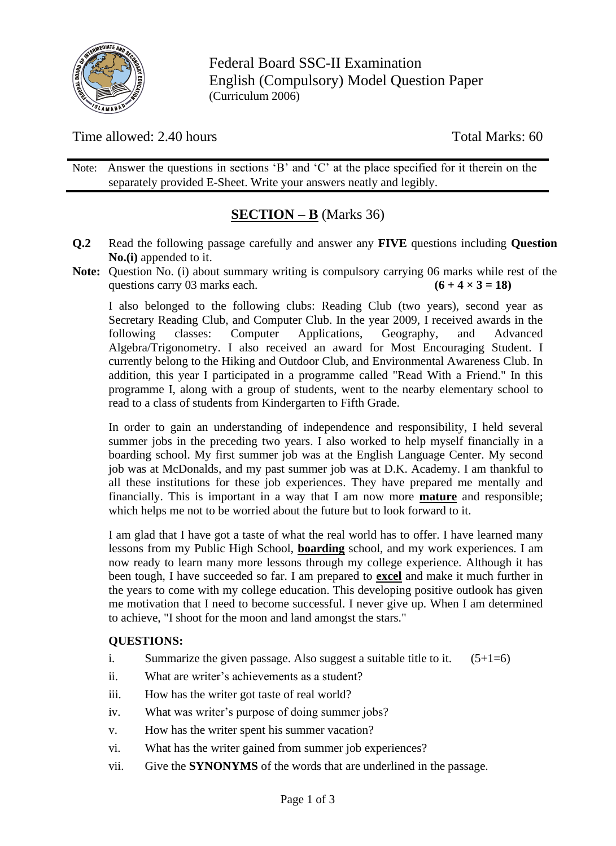

Federal Board SSC-II Examination English (Compulsory) Model Question Paper (Curriculum 2006)

Time allowed: 2.40 hours Total Marks: 60

Note: Answer the questions in sections 'B' and 'C' at the place specified for it therein on the separately provided E-Sheet. Write your answers neatly and legibly.

# **SECTION – B** (Marks 36)

- **Q.2** Read the following passage carefully and answer any **FIVE** questions including **Question No.(i)** appended to it.
- **Note:** Question No. (i) about summary writing is compulsory carrying 06 marks while rest of the questions carry 03 marks each.  $(6 + 4 \times 3 = 18)$

I also belonged to the following clubs: Reading Club (two years), second year as Secretary Reading Club, and Computer Club. In the year 2009, I received awards in the following classes: Computer Applications, Geography, and Advanced Algebra/Trigonometry. I also received an award for Most Encouraging Student. I currently belong to the Hiking and Outdoor Club, and Environmental Awareness Club. In addition, this year I participated in a programme called "Read With a Friend." In this programme I, along with a group of students, went to the nearby elementary school to read to a class of students from Kindergarten to Fifth Grade.

In order to gain an understanding of independence and responsibility, I held several summer jobs in the preceding two years. I also worked to help myself financially in a boarding school. My first summer job was at the English Language Center. My second job was at McDonalds, and my past summer job was at D.K. Academy. I am thankful to all these institutions for these job experiences. They have prepared me mentally and financially. This is important in a way that I am now more **mature** and responsible; which helps me not to be worried about the future but to look forward to it.

I am glad that I have got a taste of what the real world has to offer. I have learned many lessons from my Public High School, **boarding** school, and my work experiences. I am now ready to learn many more lessons through my college experience. Although it has been tough, I have succeeded so far. I am prepared to **excel** and make it much further in the years to come with my college education. This developing positive outlook has given me motivation that I need to become successful. I never give up. When I am determined to achieve, "I shoot for the moon and land amongst the stars."

### **QUESTIONS:**

- i. Summarize the given passage. Also suggest a suitable title to it.  $(5+1=6)$
- ii. What are writer's achievements as a student?
- iii. How has the writer got taste of real world?
- iv. What was writer's purpose of doing summer jobs?
- v. How has the writer spent his summer vacation?
- vi. What has the writer gained from summer job experiences?
- vii. Give the **SYNONYMS** of the words that are underlined in the passage.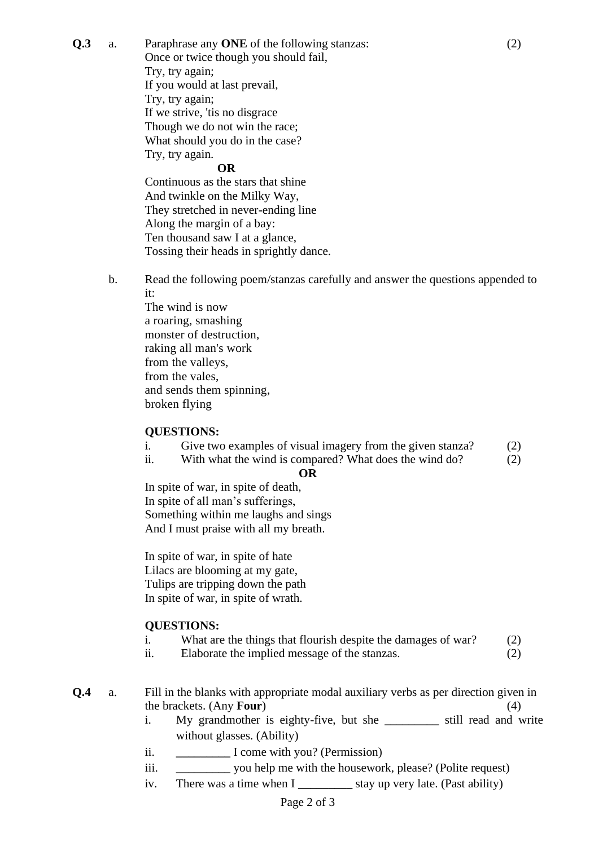**Q.3** a. Paraphrase any **ONE** of the following stanzas: (2)

Once or twice though you should fail, Try, try again; If you would at last prevail, Try, try again; If we strive, 'tis no disgrace Though we do not win the race; What should you do in the case? Try, try again.

#### **OR**

Continuous as the stars that shine And twinkle on the Milky Way, They stretched in never-ending line Along the margin of a bay: Ten thousand saw I at a glance, Tossing their heads in sprightly dance.

b. Read the following poem/stanzas carefully and answer the questions appended to it:

The wind is now a roaring, smashing monster of destruction, raking all man's work from the valleys, from the vales, and sends them spinning, broken flying

#### **QUESTIONS:**

- i. Give two examples of visual imagery from the given stanza? (2)
- ii. With what the wind is compared? What does the wind do? (2)

#### **OR**

In spite of war, in spite of [death,](https://fakhrealam-31733.medium.com/paraphrase-in-spite-of-war-72381f8dfabf) In [spite](https://fakhrealam-31733.medium.com/in-spite-of-war-spark-notes-8dd401b66760) of all man's sufferings, Something within me laughs and sings And I must praise with all my breath.

In spite of war, in spite of hate Lilacs are blooming at my gate, Tulips are tripping down the path In spite of war, in spite of wrath.

#### **QUESTIONS:**

- i. What are the things that flourish despite the damages of war? (2)
- ii. Elaborate the implied message of the stanzas. (2)
- **Q.4** a. Fill in the blanks with appropriate modal auxiliary verbs as per direction given in the brackets. (Any **Four**) (4)
	- i. My grandmother is eighty-five, but she **\_\_\_\_\_\_\_\_\_** still read and write without glasses. (Ability)
	- ii. **\_\_\_\_\_\_\_\_\_** I come with you? (Permission)
	- iii. **\_\_\_\_\_\_\_\_\_** you help me with the housework, please? (Polite request)
	- iv. There was a time when I **\_\_\_\_\_\_\_\_\_** stay up very late. (Past ability)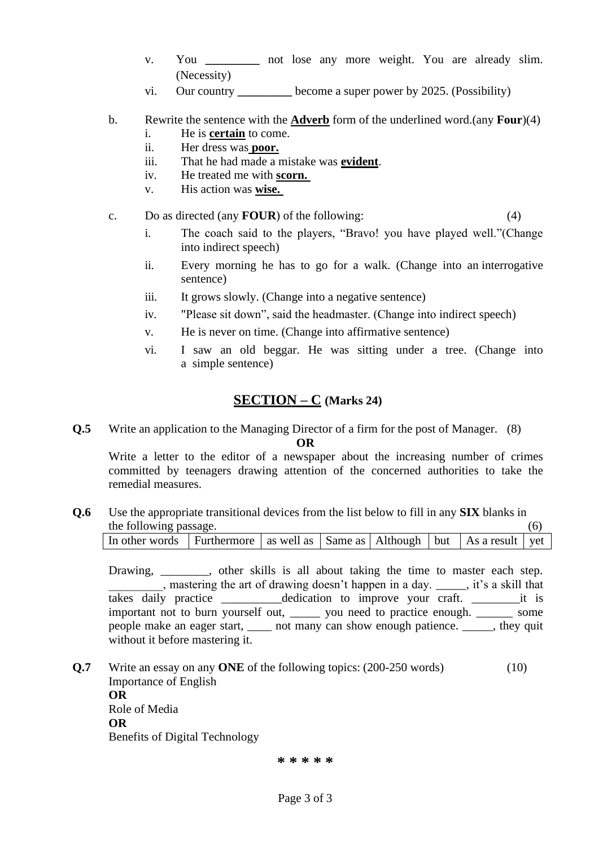- v. You **\_\_\_\_\_\_\_\_\_** not lose any more weight. You are already slim. (Necessity)
- vi. Our country **\_\_\_\_\_\_\_\_\_** become a super power by 2025. (Possibility)
- b. Rewrite the sentence with the **Adverb** form of the underlined word.(any **Four**)(4)
	- i. He is **certain** to come.
	- ii. Her dress was **poor.**
	- iii. That he had made a mistake was **evident**.
	- iv. He treated me with **scorn.**
	- v. His action was **wise.**
- c. Do as directed (any **FOUR**) of the following: (4)
	- i. The coach said to the players, "Bravo! you have played well."(Change into indirect speech)
	- ii. Every morning he has to go for a walk. (Change into an interrogative sentence)
	- iii. It grows slowly. (Change into a negative sentence)
	- iv. "Please sit down", said the headmaster. (Change into indirect speech)
	- v. He is never on time. (Change into affirmative sentence)
	- vi. I saw an old beggar. He was sitting under a tree. (Change into a simple sentence)

## **SECTION – C (Marks 24)**

**Q.5** Write an application to the Managing Director of a firm for the post of Manager. (8)

**OR**

Write a letter to the editor of a newspaper about the increasing number of crimes committed by teenagers drawing attention of the concerned authorities to take the remedial measures.

**Q.6** Use the appropriate transitional devices from the list below to fill in any **SIX** blanks in the following passage. (6)

| In other words Furthermore as well as Same as Although but As a result yet |  |  |  |  |
|----------------------------------------------------------------------------|--|--|--|--|
|                                                                            |  |  |  |  |

Drawing, \_\_\_\_\_\_\_, other skills is all about taking the time to master each step. \_\_\_\_\_\_\_\_\_, mastering the art of drawing doesn't happen in a day. \_\_\_\_\_, it's a skill that takes daily practice \_\_\_\_\_\_\_\_\_\_\_dedication to improve your craft. \_\_\_\_\_\_\_\_\_\_\_it is important not to burn yourself out, wou need to practice enough. Some people make an eager start, \_\_\_\_ not many can show enough patience. \_\_\_\_\_, they quit without it before mastering it.

**Q.7** Write an essay on any **ONE** of the following topics: (200-250 words) (10) Importance of English **OR** Role of Media **OR** Benefits of Digital Technology

**\* \* \* \* \***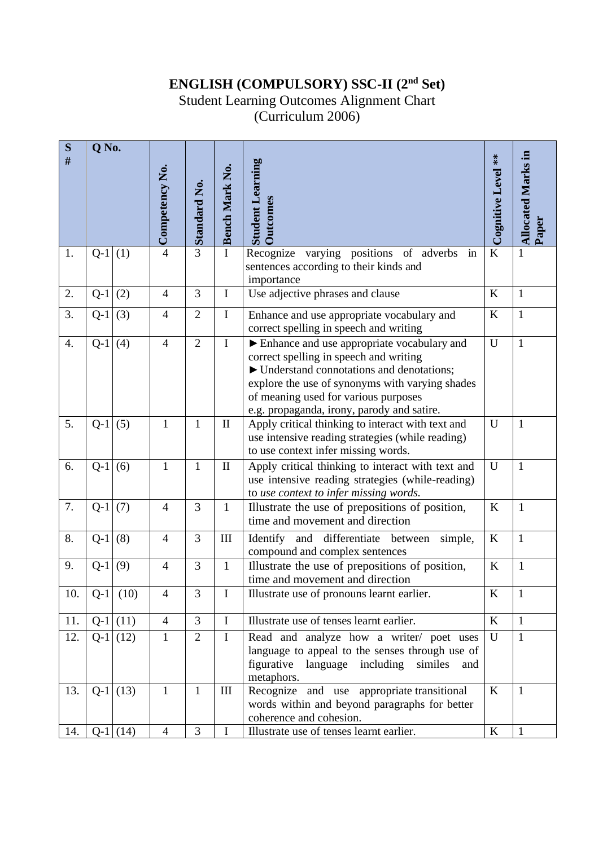## **ENGLISH (COMPULSORY) SSC-II (2nd Set)**

Student Learning Outcomes Alignment Chart

(Curriculum 2006)

| S    | Q No. |            |                |                     |                       |                                                                                                                                                                                                                                                                             |                    |                           |
|------|-------|------------|----------------|---------------------|-----------------------|-----------------------------------------------------------------------------------------------------------------------------------------------------------------------------------------------------------------------------------------------------------------------------|--------------------|---------------------------|
| $\#$ |       |            | Competency No. | <b>Standard No.</b> | <b>Bench Mark No.</b> | <b>Student Learning</b><br><b>Outcomes</b>                                                                                                                                                                                                                                  | Cognitive Level ** | <b>Allocated Marks in</b> |
| 1.   | $Q-1$ | (1)        | $\overline{4}$ | $\overline{3}$      | I                     | varying positions of adverbs in<br>Recognize<br>sentences according to their kinds and<br>importance                                                                                                                                                                        | $\bf K$            | 1                         |
| 2.   | $Q-1$ | (2)        | $\overline{4}$ | 3                   | $\bf I$               | Use adjective phrases and clause                                                                                                                                                                                                                                            | K                  | $\mathbf{1}$              |
| 3.   | $Q-1$ | (3)        | $\overline{4}$ | $\overline{2}$      | $\mathbf I$           | Enhance and use appropriate vocabulary and<br>correct spelling in speech and writing                                                                                                                                                                                        | $\bf K$            | $\mathbf{1}$              |
| 4.   | $Q-1$ | (4)        | $\overline{4}$ | $\overline{2}$      | $\mathbf I$           | Enhance and use appropriate vocabulary and<br>correct spelling in speech and writing<br>▶ Understand connotations and denotations;<br>explore the use of synonyms with varying shades<br>of meaning used for various purposes<br>e.g. propaganda, irony, parody and satire. | U                  | $\mathbf{1}$              |
| 5.   | $Q-1$ | (5)        | 1              | $\mathbf{1}$        | $\mathbf{I}$          | Apply critical thinking to interact with text and<br>use intensive reading strategies (while reading)<br>to use context infer missing words.                                                                                                                                | $\mathbf U$        | $\mathbf{1}$              |
| 6.   | $Q-1$ | (6)        | $\mathbf{1}$   | $\mathbf{1}$        | $\mathbf{I}$          | Apply critical thinking to interact with text and<br>use intensive reading strategies (while-reading)<br>to use context to infer missing words.                                                                                                                             | U                  | $\mathbf{1}$              |
| 7.   | $Q-1$ | (7)        | $\overline{4}$ | 3                   | $\mathbf{1}$          | Illustrate the use of prepositions of position,<br>time and movement and direction                                                                                                                                                                                          | K                  | $\mathbf{1}$              |
| 8.   | $Q-1$ | (8)        | $\overline{4}$ | 3                   | III                   | Identify<br>differentiate between<br>and<br>simple,<br>compound and complex sentences                                                                                                                                                                                       | K                  | $\mathbf{1}$              |
| 9.   | $Q-1$ | (9)        | $\overline{4}$ | 3                   | $\mathbf{1}$          | Illustrate the use of prepositions of position,<br>time and movement and direction                                                                                                                                                                                          | K                  | $\mathbf{1}$              |
| 10.  |       | $Q-1$ (10) | 4              | 3                   | $\bf{l}$              | Illustrate use of pronouns learnt earlier.                                                                                                                                                                                                                                  | K                  | 1                         |
| 11.  |       | $Q-1$ (11) | $\overline{4}$ | $\overline{3}$      | $\mathbf I$           | Illustrate use of tenses learnt earlier.                                                                                                                                                                                                                                    | K                  | $\mathbf{1}$              |
| 12.  | $Q-1$ | (12)       | $\mathbf{1}$   | $\overline{2}$      | $\mathbf I$           | Read and analyze how a writer/ poet uses<br>language to appeal to the senses through use of<br>figurative<br>language including<br>similes<br>and<br>metaphors.                                                                                                             | U                  | $\mathbf{1}$              |
| 13.  | $Q-1$ | (13)       | $\mathbf{1}$   | $\mathbf{1}$        | III                   | Recognize and use appropriate transitional<br>words within and beyond paragraphs for better<br>coherence and cohesion.                                                                                                                                                      | $\bf K$            | $\mathbf{1}$              |
| 14.  |       | $Q-1$ (14) | $\overline{4}$ | 3                   | I                     | Illustrate use of tenses learnt earlier.                                                                                                                                                                                                                                    | $\bf K$            | $\mathbf{1}$              |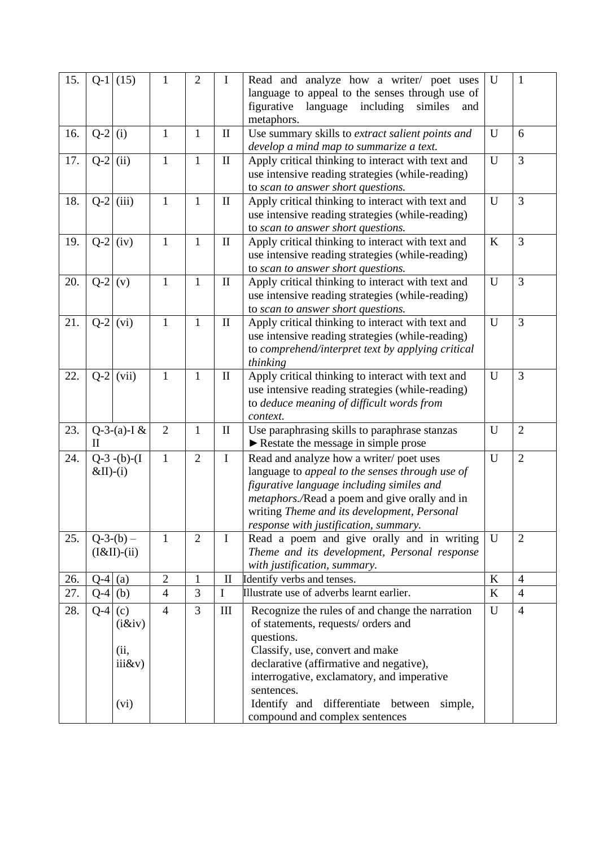| 15. | $Q-1$       | (15)          | $\mathbf{1}$   | 2              | $\mathbf I$  | Read and analyze how a writer/ poet uses                                                     | U | 1              |
|-----|-------------|---------------|----------------|----------------|--------------|----------------------------------------------------------------------------------------------|---|----------------|
|     |             |               |                |                |              | language to appeal to the senses through use of<br>figurative                                |   |                |
|     |             |               |                |                |              | language<br>including<br>similes<br>and<br>metaphors.                                        |   |                |
| 16. | $Q-2$       | (i)           | $\mathbf{1}$   | 1              | $\mathbf{I}$ | Use summary skills to extract salient points and                                             | U | 6              |
|     |             |               |                |                |              | develop a mind map to summarize a text.                                                      |   |                |
| 17. | $Q-2$       | (ii)          | $\mathbf{1}$   | 1              | $\mathbf{I}$ | Apply critical thinking to interact with text and                                            | U | 3              |
|     |             |               |                |                |              | use intensive reading strategies (while-reading)                                             |   |                |
|     |             |               |                |                |              | to scan to answer short questions.                                                           |   |                |
| 18. | $Q-2$       | (iii)         | $\mathbf{1}$   | $\mathbf{1}$   | $\mathbf{I}$ | Apply critical thinking to interact with text and                                            | U | $\overline{3}$ |
|     |             |               |                |                |              | use intensive reading strategies (while-reading)                                             |   |                |
|     |             |               |                |                |              | to scan to answer short questions.                                                           |   |                |
| 19. | $Q-2$       | (iv)          | $\mathbf{1}$   | $\mathbf{1}$   | $\mathbf{I}$ | Apply critical thinking to interact with text and                                            | K | 3              |
|     |             |               |                |                |              | use intensive reading strategies (while-reading)<br>to scan to answer short questions.       |   |                |
| 20. | $Q-2$       | (v)           | $\mathbf{1}$   | $\mathbf{1}$   | $\mathbf{I}$ | Apply critical thinking to interact with text and                                            | U | 3              |
|     |             |               |                |                |              | use intensive reading strategies (while-reading)                                             |   |                |
|     |             |               |                |                |              | to scan to answer short questions.                                                           |   |                |
| 21. | $Q-2$       | (vi)          | $\mathbf{1}$   | $\mathbf{1}$   | $\mathbf{I}$ | Apply critical thinking to interact with text and                                            | U | 3              |
|     |             |               |                |                |              | use intensive reading strategies (while-reading)                                             |   |                |
|     |             |               |                |                |              | to comprehend/interpret text by applying critical                                            |   |                |
|     |             |               |                |                |              | thinking                                                                                     |   |                |
| 22. | $Q-2$       | (vii)         | $\mathbf{1}$   | $\mathbf{1}$   | $\mathbf{I}$ | Apply critical thinking to interact with text and                                            | U | 3              |
|     |             |               |                |                |              | use intensive reading strategies (while-reading)                                             |   |                |
|     |             |               |                |                |              | to deduce meaning of difficult words from                                                    |   |                |
|     |             |               |                |                |              | context.                                                                                     |   |                |
| 23. |             | Q-3-(a)-I $&$ | $\overline{2}$ | $\mathbf{1}$   | $\mathbf{I}$ | Use paraphrasing skills to paraphrase stanzas                                                | U | $\overline{2}$ |
|     | $_{\rm II}$ |               |                |                |              | Restate the message in simple prose                                                          |   |                |
| 24. |             | $Q-3-(b)-(I)$ | $\mathbf{1}$   | $\overline{2}$ | $\bf{I}$     | Read and analyze how a writer/poet uses                                                      | U | $\overline{2}$ |
|     | $&II$ )-(i) |               |                |                |              | language to appeal to the senses through use of                                              |   |                |
|     |             |               |                |                |              | figurative language including similes and                                                    |   |                |
|     |             |               |                |                |              | metaphors./Read a poem and give orally and in<br>writing Theme and its development, Personal |   |                |
|     |             |               |                |                |              | response with justification, summary.                                                        |   |                |
| 25. |             | $Q-3-(b)$ –   | 1              | $\overline{2}$ | $\mathbf I$  | Read a poem and give orally and in writing                                                   | U | $\overline{2}$ |
|     |             | $(I&II)-(ii)$ |                |                |              | Theme and its development, Personal response                                                 |   |                |
|     |             |               |                |                |              | with justification, summary.                                                                 |   |                |
| 26. | $Q-4$ (a)   |               | $\overline{2}$ | 1              | $\mathbf{I}$ | Identify verbs and tenses.                                                                   | K | $\overline{4}$ |
| 27. | $Q-4$       | (b)           | $\overline{4}$ | 3              | $\mathbf I$  | Illustrate use of adverbs learnt earlier.                                                    | K | $\overline{4}$ |
| 28. | $Q-4$       | (c)           | $\overline{4}$ | $\overline{3}$ | $\rm III$    | Recognize the rules of and change the narration                                              | U | $\overline{4}$ |
|     |             | (i &iv)       |                |                |              | of statements, requests/ orders and                                                          |   |                |
|     |             |               |                |                |              | questions.                                                                                   |   |                |
|     |             | (ii,          |                |                |              | Classify, use, convert and make                                                              |   |                |
|     |             | iiikv)        |                |                |              | declarative (affirmative and negative),                                                      |   |                |
|     |             |               |                |                |              | interrogative, exclamatory, and imperative                                                   |   |                |
|     |             |               |                |                |              | sentences.                                                                                   |   |                |
|     |             | (vi)          |                |                |              | Identify and<br>differentiate<br>between<br>simple,                                          |   |                |
|     |             |               |                |                |              | compound and complex sentences                                                               |   |                |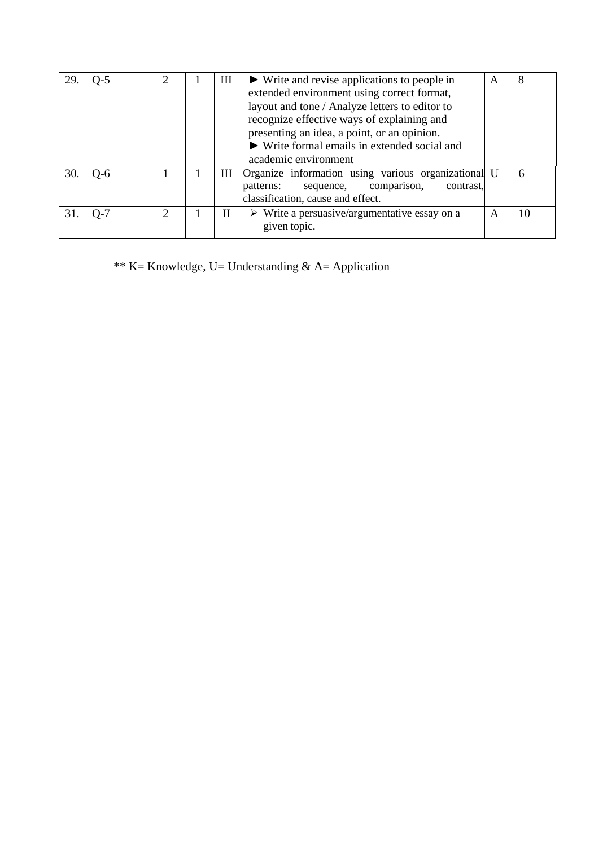| 29. | $Q-5$ | $\mathcal{D}_{\mathcal{A}}$ | Ш | $\blacktriangleright$ Write and revise applications to people in<br>extended environment using correct format,<br>layout and tone / Analyze letters to editor to<br>recognize effective ways of explaining and<br>presenting an idea, a point, or an opinion.<br>$\triangleright$ Write formal emails in extended social and<br>academic environment | A | 8  |
|-----|-------|-----------------------------|---|------------------------------------------------------------------------------------------------------------------------------------------------------------------------------------------------------------------------------------------------------------------------------------------------------------------------------------------------------|---|----|
| 30. | $O-6$ |                             | Ш | Organize information using various organizational U<br>sequence, comparison,<br>contrast,<br>patterns:<br>classification, cause and effect.                                                                                                                                                                                                          |   | 6  |
| 31. | $O-7$ | 2                           | H | $\triangleright$ Write a persuasive/argumentative essay on a<br>given topic.                                                                                                                                                                                                                                                                         | A | 10 |

\*\* K= Knowledge, U= Understanding & A= Application